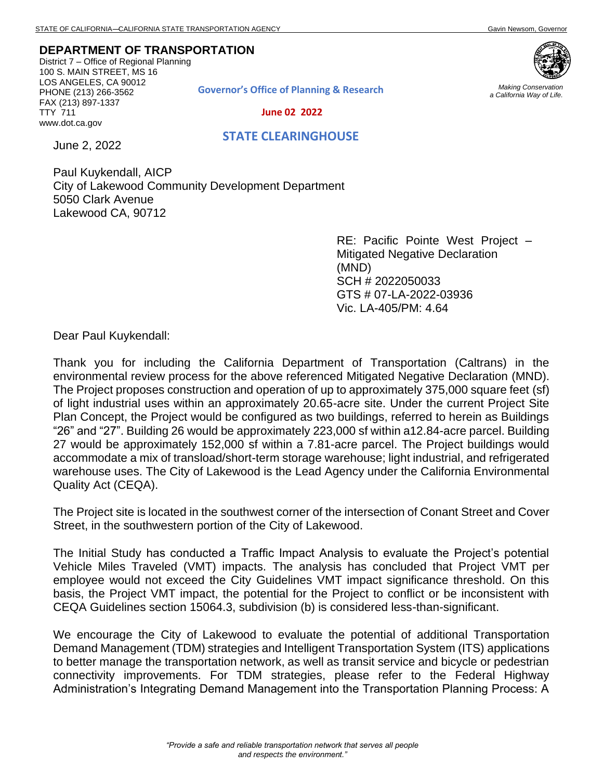**DEPARTMENT OF TRANSPORTATION**

District 7 – Office of Regional Planning 100 S. MAIN STREET, MS 16 LOS ANGELES, CA 90012 PHONE (213) 266-3562 FAX (213) 897-1337 TTY 711 www.dot.ca.gov



**Governor's Office of Planning & Research**

*Making Conservation a California Way of Life.*

 **June 02 2022**

## June 2, 2022

## **STATE CLEARINGHOUSE**

Paul Kuykendall, AICP City of Lakewood Community Development Department 5050 Clark Avenue Lakewood CA, 90712

> RE: Pacific Pointe West Project – Mitigated Negative Declaration (MND) SCH # 2022050033 GTS # 07-LA-2022-03936 Vic. LA-405/PM: 4.64

Dear Paul Kuykendall:

Thank you for including the California Department of Transportation (Caltrans) in the environmental review process for the above referenced Mitigated Negative Declaration (MND). The Project proposes construction and operation of up to approximately 375,000 square feet (sf) of light industrial uses within an approximately 20.65-acre site. Under the current Project Site Plan Concept, the Project would be configured as two buildings, referred to herein as Buildings "26" and "27". Building 26 would be approximately 223,000 sf within a12.84-acre parcel. Building 27 would be approximately 152,000 sf within a 7.81-acre parcel. The Project buildings would accommodate a mix of transload/short-term storage warehouse; light industrial, and refrigerated warehouse uses. The City of Lakewood is the Lead Agency under the California Environmental Quality Act (CEQA).

The Project site is located in the southwest corner of the intersection of Conant Street and Cover Street, in the southwestern portion of the City of Lakewood.

The Initial Study has conducted a Traffic Impact Analysis to evaluate the Project's potential Vehicle Miles Traveled (VMT) impacts. The analysis has concluded that Project VMT per employee would not exceed the City Guidelines VMT impact significance threshold. On this basis, the Project VMT impact, the potential for the Project to conflict or be inconsistent with CEQA Guidelines section 15064.3, subdivision (b) is considered less-than-significant.

We encourage the City of Lakewood to evaluate the potential of additional Transportation Demand Management (TDM) strategies and Intelligent Transportation System (ITS) applications to better manage the transportation network, as well as transit service and bicycle or pedestrian connectivity improvements. For TDM strategies, please refer to the Federal Highway Administration's Integrating Demand Management into the Transportation Planning Process: A